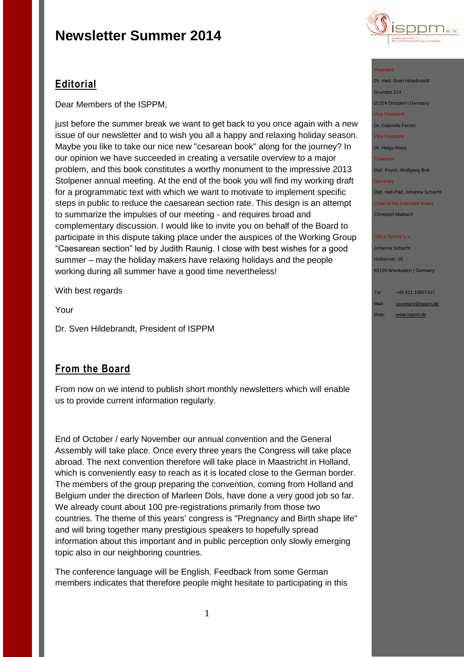

## **Editorial**

Dear Members of the ISPPM,

just before the summer break we want to get back to you once again with a new issue of our newsletter and to wish you all a happy and relaxing holiday season. Maybe you like to take our nice new "cesarean book" along for the journey? In our opinion we have succeeded in creating a versatile overview to a major problem, and this book constitutes a worthy monument to the impressive 2013 Stolpener annual meeting. At the end of the book you will find my working draft for a programmatic text with which we want to motivate to implement specific steps in public to reduce the caesarean section rate. This design is an attempt to summarize the impulses of our meeting - and requires broad and complementary discussion. I would like to invite you on behalf of the Board to participate in this dispute taking place under the auspices of the Working Group "Caesarean section" led by Judith Raunig. I close with best wishes for a good summer – may the holiday makers have relaxing holidays and the people working during all summer have a good time nevertheless!

With best regards

Your

Dr. Sven Hildebrandt, President of ISPPM

## **From the Board**

From now on we intend to publish short monthly newsletters which will enable us to provide current information regularly.

End of October / early November our annual convention and the General Assembly will take place. Once every three years the Congress will take place abroad. The next convention therefore will take place in Maastricht in Holland, which is conveniently easy to reach as it is located close to the German border. The members of the group preparing the convention, coming from Holland and Belgium under the direction of Marleen Dols, have done a very good job so far. We already count about 100 pre-registrations primarily from those two countries. The theme of this years' congress is "Pregnancy and Birth shape life" and will bring together many prestigious speakers to hopefully spread information about this important and in public perception only slowly emerging topic also in our neighboring countries.

The conference language will be English. Feedback from some German members indicates that therefore people might hesitate to participating in this

#### President

Dr. med. Sven Hildebrandt Grundstr.174 01324 Dresden | Germany Vice President Dr. Gabriella Ferrari Vice President Dr. Helga Blazy

Treasurer

Dipl. Psych. Wolfgang Bott

**Secretary** 

Dipl. Heil-Päd. Johanna Schacht

Chair of the Extended Board Christoph Maibach

#### Office ISPPM e.V

Johanna Schacht Holbeinstr. 56 65195 Wiesbaden | Germany

Tel: +49 611 16857437

Mail: [secretary@isppm.de](mailto:secretary@isppm.de) Web: [www.isppm.de](http://www.isppm.de/)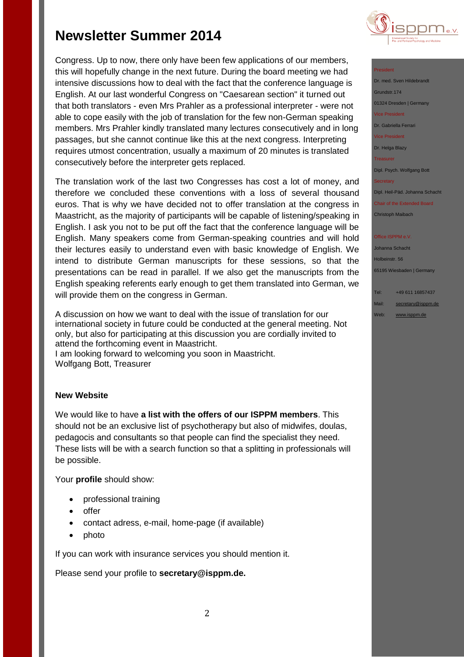Congress. Up to now, there only have been few applications of our members, this will hopefully change in the next future. During the board meeting we had intensive discussions how to deal with the fact that the conference language is English. At our last wonderful Congress on "Caesarean section" it turned out that both translators - even Mrs Prahler as a professional interpreter - were not able to cope easily with the job of translation for the few non-German speaking members. Mrs Prahler kindly translated many lectures consecutively and in long passages, but she cannot continue like this at the next congress. Interpreting requires utmost concentration, usually a maximum of 20 minutes is translated consecutively before the interpreter gets replaced.

The translation work of the last two Congresses has cost a lot of money, and therefore we concluded these conventions with a loss of several thousand euros. That is why we have decided not to offer translation at the congress in Maastricht, as the majority of participants will be capable of listening/speaking in English. I ask you not to be put off the fact that the conference language will be English. Many speakers come from German-speaking countries and will hold their lectures easily to understand even with basic knowledge of English. We intend to distribute German manuscripts for these sessions, so that the presentations can be read in parallel. If we also get the manuscripts from the English speaking referents early enough to get them translated into German, we will provide them on the congress in German.

A discussion on how we want to deal with the issue of translation for our international society in future could be conducted at the general meeting. Not only, but also for participating at this discussion you are cordially invited to attend the forthcoming event in Maastricht. I am looking forward to welcoming you soon in Maastricht. Wolfgang Bott, Treasurer

### **New Website**

We would like to have **a list with the offers of our ISPPM members**. This should not be an exclusive list of psychotherapy but also of midwifes, doulas, pedagocis and consultants so that people can find the specialist they need. These lists will be with a search function so that a splitting in professionals will be possible.

Your **profile** should show:

- professional training
- offer
- contact adress, e-mail, home-page (if available)
- photo

If you can work with insurance services you should mention it.

Please send your profile to **secretary@isppm.de.**



### President

| Dr. med. Sven Hildebrandt          |
|------------------------------------|
| Grundstr.174                       |
| 01324 Dresden   Germany            |
| <b>Vice President</b>              |
| Dr. Gabriella Ferrari              |
| <b>Vice President</b>              |
| Dr. Helga Blazy                    |
| <b>Treasurer</b>                   |
| Dipl. Psych. Wolfgang Bott         |
| <b>Secretary</b>                   |
| Dipl. Heil-Päd. Johanna Schacht    |
| <b>Chair of the Extended Board</b> |
| <b>Christoph Maibach</b>           |
|                                    |
| Office ISPPM e.V.                  |

Johanna Schacht Holbeinstr. 56 65195 Wiesbaden | Germany

Tel: +49 611 16857437 Mail: [secretary@isppm.de](mailto:secretary@isppm.de) Web: [www.isppm.de](http://www.isppm.de/)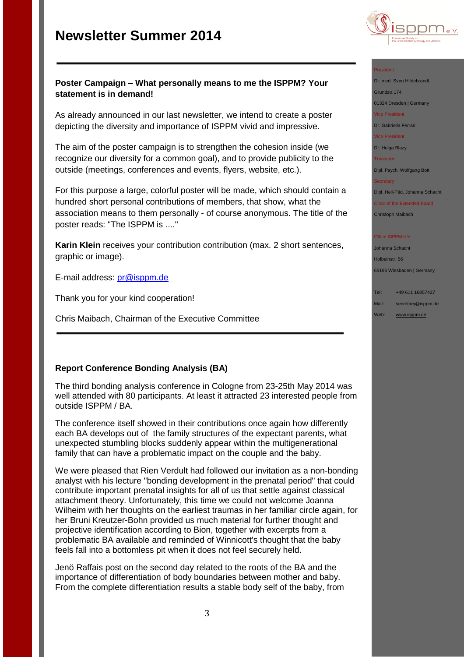

#### President

Dr. med. Sven Hildebrandt

Grundstr.174

01324 Dresden | Germany

Vice President

Dr. Gabriella Ferrari

Vice President

Dr. Helga Blazy

**Treasurer** 

Dipl. Psych. Wolfgang Bott

**Secretary** 

Dipl. Heil-Päd. Johanna Schacht

Chair of the Extended Board Christoph Maibach

#### Office ISPPM e.V

Johanna Schacht Holbeinstr. 56 65195 Wiesbaden | Germany

Tel: +49 611 16857437

Mail: [secretary@isppm.de](mailto:secretary@isppm.de)

Web: [www.isppm.de](http://www.isppm.de/)

### **Poster Campaign – What personally means to me the ISPPM? Your statement is in demand!**

As already announced in our last newsletter, we intend to create a poster depicting the diversity and importance of ISPPM vivid and impressive.

The aim of the poster campaign is to strengthen the cohesion inside (we recognize our diversity for a common goal), and to provide publicity to the outside (meetings, conferences and events, flyers, website, etc.).

For this purpose a large, colorful poster will be made, which should contain a hundred short personal contributions of members, that show, what the association means to them personally - of course anonymous. The title of the poster reads: "The ISPPM is ...."

**Karin Klein** receives your contribution contribution (max. 2 short sentences, graphic or image).

E-mail address: [pr@isppm.de](file:///C:/Users/hanna/Desktop/pr@isppm.de)

Thank you for your kind cooperation!

Chris Maibach, Chairman of the Executive Committee

### **Report Conference Bonding Analysis (BA)**

The third bonding analysis conference in Cologne from 23-25th May 2014 was well attended with 80 participants. At least it attracted 23 interested people from outside ISPPM / BA.

The conference itself showed in their contributions once again how differently each BA develops out of the family structures of the expectant parents, what unexpected stumbling blocks suddenly appear within the multigenerational family that can have a problematic impact on the couple and the baby.

We were pleased that Rien Verdult had followed our invitation as a non-bonding analyst with his lecture "bonding development in the prenatal period" that could contribute important prenatal insights for all of us that settle against classical attachment theory. Unfortunately, this time we could not welcome Joanna Wilheim with her thoughts on the earliest traumas in her familiar circle again, for her Bruni Kreutzer-Bohn provided us much material for further thought and projective identification according to Bion, together with excerpts from a problematic BA available and reminded of Winnicott's thought that the baby feels fall into a bottomless pit when it does not feel securely held.

Jenö Raffais post on the second day related to the roots of the BA and the importance of differentiation of body boundaries between mother and baby. From the complete differentiation results a stable body self of the baby, from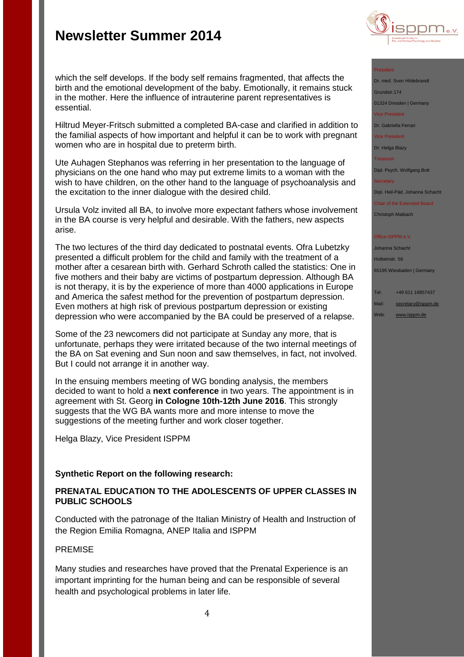

#### President

Dr. med. Sven Hildebrandt Grundstr.174

01324 Dresden | Germany

Vice President

Dr. Gabriella Ferrari

Vice President

Dr. Helga Blazy

Treasurer

Dipl. Psych. Wolfgang Bott

**Secretary** 

Dipl. Heil-Päd. Johanna Schacht

Chair of the Extended Board Christoph Maibach

**Office ISPPM e.V** 

Johanna Schacht Holbeinstr. 56

65195 Wiesbaden | Germany

Tel: +49 611 16857437

Mail: [secretary@isppm.de](mailto:secretary@isppm.de)

Web: [www.isppm.de](http://www.isppm.de/)

### which the self develops. If the body self remains fragmented, that affects the birth and the emotional development of the baby. Emotionally, it remains stuck in the mother. Here the influence of intrauterine parent representatives is essential.

Hiltrud Meyer-Fritsch submitted a completed BA-case and clarified in addition to the familial aspects of how important and helpful it can be to work with pregnant women who are in hospital due to preterm birth.

Ute Auhagen Stephanos was referring in her presentation to the language of physicians on the one hand who may put extreme limits to a woman with the wish to have children, on the other hand to the language of psychoanalysis and the excitation to the inner dialogue with the desired child.

Ursula Volz invited all BA, to involve more expectant fathers whose involvement in the BA course is very helpful and desirable. With the fathers, new aspects arise.

The two lectures of the third day dedicated to postnatal events. Ofra Lubetzky presented a difficult problem for the child and family with the treatment of a mother after a cesarean birth with. Gerhard Schroth called the statistics: One in five mothers and their baby are victims of postpartum depression. Although BA is not therapy, it is by the experience of more than 4000 applications in Europe and America the safest method for the prevention of postpartum depression. Even mothers at high risk of previous postpartum depression or existing depression who were accompanied by the BA could be preserved of a relapse.

Some of the 23 newcomers did not participate at Sunday any more, that is unfortunate, perhaps they were irritated because of the two internal meetings of the BA on Sat evening and Sun noon and saw themselves, in fact, not involved. But I could not arrange it in another way.

In the ensuing members meeting of WG bonding analysis, the members decided to want to hold a **next conference** in two years. The appointment is in agreement with St. Georg **in Cologne 10th-12th June 2016**. This strongly suggests that the WG BA wants more and more intense to move the suggestions of the meeting further and work closer together.

Helga Blazy, Vice President ISPPM

### **Synthetic Report on the following research:**

### **PRENATAL EDUCATION TO THE ADOLESCENTS OF UPPER CLASSES IN PUBLIC SCHOOLS**

Conducted with the patronage of the Italian Ministry of Health and Instruction of the Region Emilia Romagna, ANEP Italia and ISPPM

### PREMISE

Many studies and researches have proved that the Prenatal Experience is an important imprinting for the human being and can be responsible of several health and psychological problems in later life.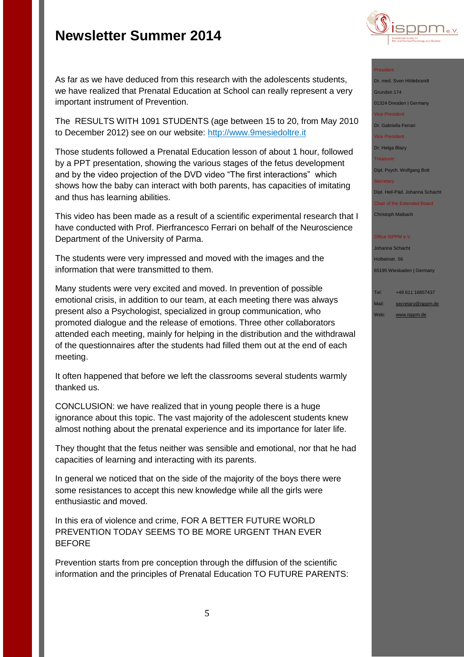

## As far as we have deduced from this research with the adolescents students, we have realized that Prenatal Education at School can really represent a very important instrument of Prevention.

The RESULTS WITH 1091 STUDENTS (age between 15 to 20, from May 2010 to December 2012) see on our website: [http://www.9mesiedoltre.it](http://www.9mesiedoltre.it/)

Those students followed a Prenatal Education lesson of about 1 hour, followed by a PPT presentation, showing the various stages of the fetus development and by the video projection of the DVD video "The first interactions" which shows how the baby can interact with both parents, has capacities of imitating and thus has learning abilities.

This video has been made as a result of a scientific experimental research that I have conducted with Prof. Pierfrancesco Ferrari on behalf of the Neuroscience Department of the University of Parma.

The students were very impressed and moved with the images and the information that were transmitted to them.

Many students were very excited and moved. In prevention of possible emotional crisis, in addition to our team, at each meeting there was always present also a Psychologist, specialized in group communication, who promoted dialogue and the release of emotions. Three other collaborators attended each meeting, mainly for helping in the distribution and the withdrawal of the questionnaires after the students had filled them out at the end of each meeting.

It often happened that before we left the classrooms several students warmly thanked us.

CONCLUSION: we have realized that in young people there is a huge ignorance about this topic. The vast majority of the adolescent students knew almost nothing about the prenatal experience and its importance for later life.

They thought that the fetus neither was sensible and emotional, nor that he had capacities of learning and interacting with its parents.

In general we noticed that on the side of the majority of the boys there were some resistances to accept this new knowledge while all the girls were enthusiastic and moved.

In this era of violence and crime, FOR A BETTER FUTURE WORLD PREVENTION TODAY SEEMS TO BE MORE URGENT THAN EVER **BEFORE** 

Prevention starts from pre conception through the diffusion of the scientific information and the principles of Prenatal Education TO FUTURE PARENTS:

#### President

Dr. med. Sven Hildebrandt Grundstr.174 01324 Dresden | Germany Vice President Dr. Gabriella Ferrari Vice President Dr. Helga Blazy **Treasurer** Dipl. Psych. Wolfgang Bott **Secretary** Dipl. Heil-Päd. Johanna Schacht Chair of the Extended Board

Christoph Maibach

#### **Office ISPPM e.V**

Johanna Schacht Holbeinstr. 56 65195 Wiesbaden | Germany

Tel: +49 611 16857437 Mail: [secretary@isppm.de](mailto:secretary@isppm.de)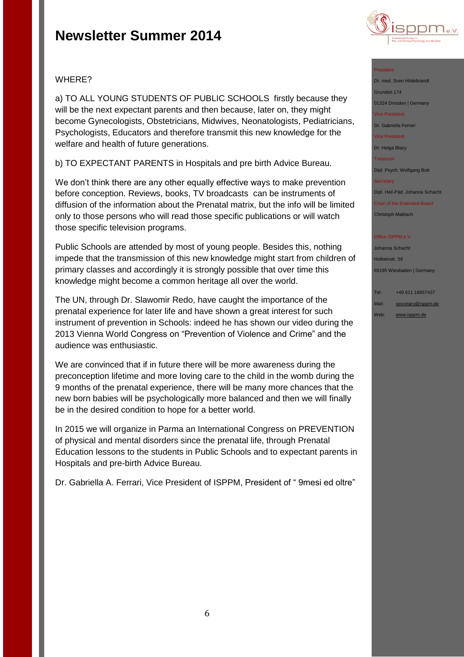

### WHERE?

a) TO ALL YOUNG STUDENTS OF PUBLIC SCHOOLS firstly because they will be the next expectant parents and then because, later on, they might become Gynecologists, Obstetricians, Midwives, Neonatologists, Pediatricians, Psychologists, Educators and therefore transmit this new knowledge for the welfare and health of future generations.

b) TO EXPECTANT PARENTS in Hospitals and pre birth Advice Bureau.

We don't think there are any other equally effective ways to make prevention before conception. Reviews, books, TV broadcasts can be instruments of diffusion of the information about the Prenatal matrix, but the info will be limited only to those persons who will read those specific publications or will watch those specific television programs.

Public Schools are attended by most of young people. Besides this, nothing impede that the transmission of this new knowledge might start from children of primary classes and accordingly it is strongly possible that over time this knowledge might become a common heritage all over the world.

The UN, through Dr. Slawomir Redo, have caught the importance of the prenatal experience for later life and have shown a great interest for such instrument of prevention in Schools: indeed he has shown our video during the 2013 Vienna World Congress on "Prevention of Violence and Crime" and the audience was enthusiastic.

We are convinced that if in future there will be more awareness during the preconception lifetime and more loving care to the child in the womb during the 9 months of the prenatal experience, there will be many more chances that the new born babies will be psychologically more balanced and then we will finally be in the desired condition to hope for a better world.

In 2015 we will organize in Parma an International Congress on PREVENTION of physical and mental disorders since the prenatal life, through Prenatal Education lessons to the students in Public Schools and to expectant parents in Hospitals and pre-birth Advice Bureau.

Dr. Gabriella A. Ferrari, Vice President of ISPPM, President of " 9mesi ed oltre"

#### President

Dr. med. Sven Hildebrandt Grundstr.174 01324 Dresden | Germany Vice President Dr. Gabriella Ferrari Vice President

Dr. Helga Blazy

Treasurer

Dipl. Psych. Wolfgang Bott

**Secretary** 

Dipl. Heil-Päd. Johanna Schacht

Chair of the Extended Board Christoph Maibach

#### **Office ISPPM e.V**

Johanna Schacht Holbeinstr. 56 65195 Wiesbaden | Germany

Tel: +49 611 16857437 Mail: [secretary@isppm.de](mailto:secretary@isppm.de)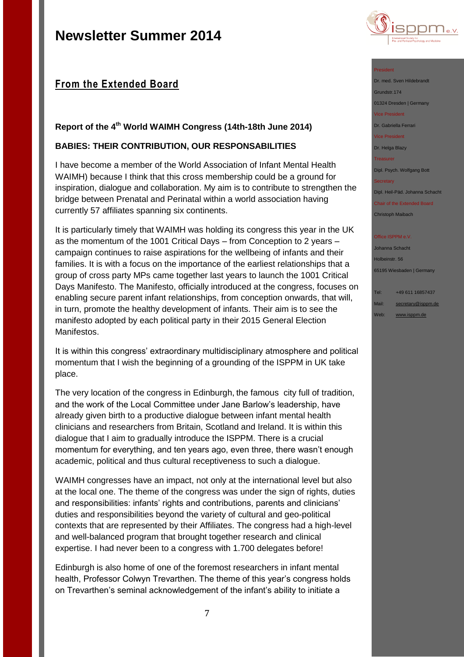## **From the Extended Board**

## **Report of the 4th World WAIMH Congress (14th-18th June 2014)**

### **BABIES: THEIR CONTRIBUTION, OUR RESPONSABILITIES**

I have become a member of the World Association of Infant Mental Health WAIMH) because I think that this cross membership could be a ground for inspiration, dialogue and collaboration. My aim is to contribute to strengthen the bridge between Prenatal and Perinatal within a world association having currently 57 affiliates spanning six continents.

It is particularly timely that WAIMH was holding its congress this year in the UK as the momentum of the 1001 Critical Days – from Conception to 2 years – campaign continues to raise aspirations for the wellbeing of infants and their families. It is with a focus on the importance of the earliest relationships that a group of cross party MPs came together last years to launch the 1001 Critical Days Manifesto. The Manifesto, officially introduced at the congress, focuses on enabling secure parent infant relationships, from conception onwards, that will, in turn, promote the healthy development of infants. Their aim is to see the manifesto adopted by each political party in their 2015 General Election Manifestos.

It is within this congress' extraordinary multidisciplinary atmosphere and political momentum that I wish the beginning of a grounding of the ISPPM in UK take place.

The very location of the congress in Edinburgh, the famous city full of tradition, and the work of the Local Committee under Jane Barlow's leadership, have already given birth to a productive dialogue between infant mental health clinicians and researchers from Britain, Scotland and Ireland. It is within this dialogue that I aim to gradually introduce the ISPPM. There is a crucial momentum for everything, and ten years ago, even three, there wasn't enough academic, political and thus cultural receptiveness to such a dialogue.

WAIMH congresses have an impact, not only at the international level but also at the local one. The theme of the congress was under the sign of rights, duties and responsibilities: infants' rights and contributions, parents and clinicians' duties and responsibilities beyond the variety of cultural and geo-political contexts that are represented by their Affiliates. The congress had a high-level and well-balanced program that brought together research and clinical expertise. I had never been to a congress with 1.700 delegates before!

Edinburgh is also home of one of the foremost researchers in infant mental health, Professor Colwyn Trevarthen. The theme of this year's congress holds on Trevarthen's seminal acknowledgement of the infant's ability to initiate a



#### President

Dr. med. Sven Hildebrandt Grundstr.174

01324 Dresden | Germany

Vice President

Dr. Gabriella Ferrari

Vice President

Dr. Helga Blazy

Treasurer

Dipl. Psych. Wolfgang Bott

**Secretary** 

Dipl. Heil-Päd. Johanna Schacht

Chair of the Extended Board Christoph Maibach

#### Office ISPPM e.V

Johanna Schacht Holbeinstr. 56 65195 Wiesbaden | Germany

Tel: +49 611 16857437 Mail: [secretary@isppm.de](mailto:secretary@isppm.de) Web: [www.isppm.de](http://www.isppm.de/)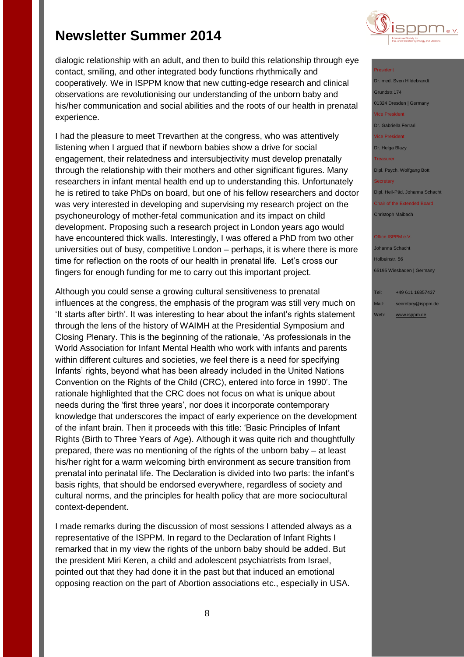dialogic relationship with an adult, and then to build this relationship through eye contact, smiling, and other integrated body functions rhythmically and cooperatively. We in ISPPM know that new cutting-edge research and clinical observations are revolutionising our understanding of the unborn baby and his/her communication and social abilities and the roots of our health in prenatal experience.

I had the pleasure to meet Trevarthen at the congress, who was attentively listening when I argued that if newborn babies show a drive for social engagement, their relatedness and intersubjectivity must develop prenatally through the relationship with their mothers and other significant figures. Many researchers in infant mental health end up to understanding this. Unfortunately he is retired to take PhDs on board, but one of his fellow researchers and doctor was very interested in developing and supervising my research project on the psychoneurology of mother-fetal communication and its impact on child development. Proposing such a research project in London years ago would have encountered thick walls. Interestingly, I was offered a PhD from two other universities out of busy, competitive London – perhaps, it is where there is more time for reflection on the roots of our health in prenatal life. Let's cross our fingers for enough funding for me to carry out this important project.

Although you could sense a growing cultural sensitiveness to prenatal influences at the congress, the emphasis of the program was still very much on 'It starts after birth'. It was interesting to hear about the infant's rights statement through the lens of the history of WAIMH at the Presidential Symposium and Closing Plenary. This is the beginning of the rationale, 'As professionals in the World Association for Infant Mental Health who work with infants and parents within different cultures and societies, we feel there is a need for specifying Infants' rights, beyond what has been already included in the United Nations Convention on the Rights of the Child (CRC), entered into force in 1990'. The rationale highlighted that the CRC does not focus on what is unique about needs during the 'first three years', nor does it incorporate contemporary knowledge that underscores the impact of early experience on the development of the infant brain. Then it proceeds with this title: 'Basic Principles of Infant Rights (Birth to Three Years of Age). Although it was quite rich and thoughtfully prepared, there was no mentioning of the rights of the unborn baby – at least his/her right for a warm welcoming birth environment as secure transition from prenatal into perinatal life. The Declaration is divided into two parts: the infant's basis rights, that should be endorsed everywhere, regardless of society and cultural norms, and the principles for health policy that are more sociocultural context-dependent.

I made remarks during the discussion of most sessions I attended always as a representative of the ISPPM. In regard to the Declaration of Infant Rights I remarked that in my view the rights of the unborn baby should be added. But the president Miri Keren, a child and adolescent psychiatrists from Israel, pointed out that they had done it in the past but that induced an emotional opposing reaction on the part of Abortion associations etc., especially in USA.



President Dr. med. Sven Hildebrandt Grundstr.174 01324 Dresden | Germany Vice President Dr. Gabriella Ferrari Vice President Dr. Helga Blazy Treasurer Dipl. Psych. Wolfgang Bott **Secretary** Dipl. Heil-Päd. Johanna Schacht Chair of the Extended Board

## Office ISPPM e.V

Christoph Maibach

Johanna Schacht Holbeinstr. 56 65195 Wiesbaden | Germany

Tel: +49 611 16857437 Mail: [secretary@isppm.de](mailto:secretary@isppm.de) Web: [www.isppm.de](http://www.isppm.de/)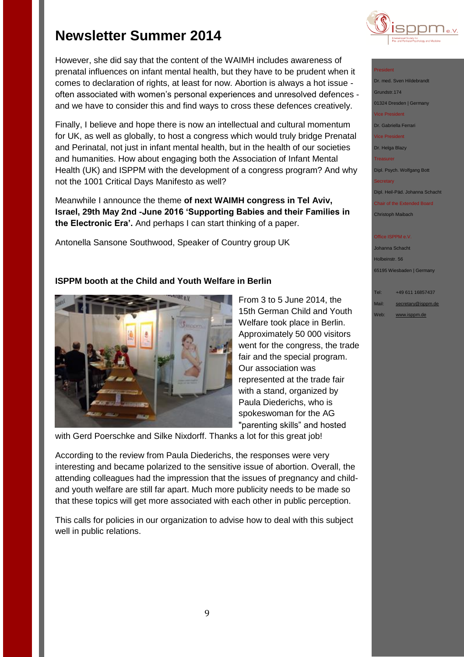However, she did say that the content of the WAIMH includes awareness of prenatal influences on infant mental health, but they have to be prudent when it comes to declaration of rights, at least for now. Abortion is always a hot issue often associated with women's personal experiences and unresolved defences and we have to consider this and find ways to cross these defences creatively.

Finally, I believe and hope there is now an intellectual and cultural momentum for UK, as well as globally, to host a congress which would truly bridge Prenatal and Perinatal, not just in infant mental health, but in the health of our societies and humanities. How about engaging both the Association of Infant Mental Health (UK) and ISPPM with the development of a congress program? And why not the 1001 Critical Days Manifesto as well?

Meanwhile I announce the theme **of next WAIMH congress in Tel Aviv, Israel, 29th May 2nd -June 2016 'Supporting Babies and their Families in the Electronic Era'.** And perhaps I can start thinking of a paper.

Antonella Sansone Southwood, Speaker of Country group UK

## **ISPPM booth at the Child and Youth Welfare in Berlin**



From 3 to 5 June 2014, the 15th German Child and Youth Welfare took place in Berlin. Approximately 50 000 visitors went for the congress, the trade fair and the special program. Our association was represented at the trade fair with a stand, organized by Paula Diederichs, who is spokeswoman for the AG "parenting skills" and hosted

with Gerd Poerschke and Silke Nixdorff. Thanks a lot for this great job!

According to the review from Paula Diederichs, the responses were very interesting and became polarized to the sensitive issue of abortion. Overall, the attending colleagues had the impression that the issues of pregnancy and childand youth welfare are still far apart. Much more publicity needs to be made so that these topics will get more associated with each other in public perception.

This calls for policies in our organization to advise how to deal with this subject well in public relations.



#### President

- Dr. med. Sven Hildebrand
- Grundstr.174
- 01324 Dresden | Germany
- Vice President
- Dr. Gabriella Ferrari
- Vice President
- Dr. Helga Blazy

Treasurer

Dipl. Psych. Wolfgang Bott

Dipl. Heil-Päd. Johanna Schacht

Chair of the Extended Board Christoph Maibach

#### Office ISPPM e.V

Johanna Schacht Holbeinstr. 56 65195 Wiesbaden | Germany

Tel: +49 611 16857437 Mail: [secretary@isppm.de](mailto:secretary@isppm.de) Web: [www.isppm.de](http://www.isppm.de/)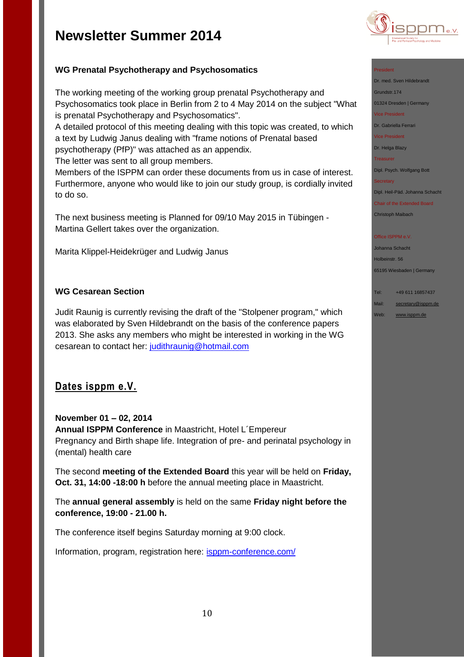

## **WG Prenatal Psychotherapy and Psychosomatics**

The working meeting of the working group prenatal Psychotherapy and Psychosomatics took place in Berlin from 2 to 4 May 2014 on the subject "What is prenatal Psychotherapy and Psychosomatics".

A detailed protocol of this meeting dealing with this topic was created, to which a text by Ludwig Janus dealing with "frame notions of Prenatal based psychotherapy (PfP)" was attached as an appendix.

The letter was sent to all group members.

Members of the ISPPM can order these documents from us in case of interest. Furthermore, anyone who would like to join our study group, is cordially invited to do so.

The next business meeting is Planned for 09/10 May 2015 in Tübingen - Martina Gellert takes over the organization.

Marita Klippel-Heidekrüger and Ludwig Janus

### **WG Cesarean Section**

Judit Raunig is currently revising the draft of the "Stolpener program," which was elaborated by Sven Hildebrandt on the basis of the conference papers 2013. She asks any members who might be interested in working in the WG cesarean to contact her: [judithraunig@hotmail.com](file:///C:/Users/hanna/Desktop/judithraunig@hotmail.com)

## **Dates isppm e.V.**

### **November 01 – 02, 2014**

**Annual ISPPM Conference** in Maastricht, Hotel L´Empereur Pregnancy and Birth shape life. Integration of pre- and perinatal psychology in (mental) health care

The second **meeting of the Extended Board** this year will be held on **Friday, Oct. 31, 14:00 -18:00 h** before the annual meeting place in Maastricht.

The **annual general assembly** is held on the same **Friday night before the conference, 19:00 - 21.00 h.**

The conference itself begins Saturday morning at 9:00 clock.

Information, program, registration here: [isppm-conference.com/](http://isppm-conference.com/)

#### President

Dr. med. Sven Hildebrandt

Grundstr.174

01324 Dresden | Germany Vice President

Dr. Gabriella Ferrari

Vice President

Dr. Helga Blazy Treasurer

Dipl. Psych. Wolfgang Bott

**Secretary** 

Dipl. Heil-Päd. Johanna Schacht

Chair of the Extended Board Christoph Maibach

#### Office ISPPM e.V

Johanna Schacht Holbeinstr. 56 65195 Wiesbaden | Germany

Tel: +49 611 16857437 Mail: [secretary@isppm.de](mailto:secretary@isppm.de)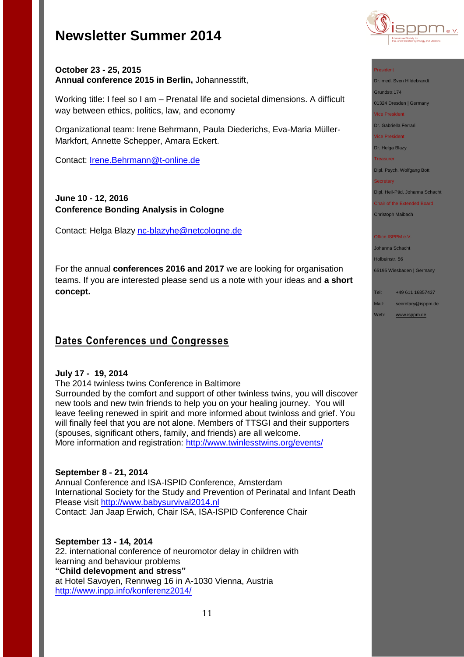

### **October 23 - 25, 2015 Annual conference 2015 in Berlin,** Johannesstift,

Working title: I feel so I am – Prenatal life and societal dimensions. A difficult way between ethics, politics, law, and economy

Organizational team: Irene Behrmann, Paula Diederichs, Eva-Maria Müller-Markfort, Annette Schepper, Amara Eckert.

Contact: [Irene.Behrmann@t-online.de](file:///C:/Users/hanna/Desktop/Irene.Behrmann@t-online.de)

## **June 10 - 12, 2016 Conference Bonding Analysis in Cologne**

Contact: Helga Blazy [nc-blazyhe@netcologne.de](file:///C:/Users/hanna/Desktop/nc-blazyhe@netcologne.de)

For the annual **conferences 2016 and 2017** we are looking for organisation teams. If you are interested please send us a note with your ideas and **a short concept.**

## **Dates Conferences und Congresses**

### **July 17 - 19, 2014**

The 2014 twinless twins Conference in Baltimore Surrounded by the comfort and support of other twinless twins, you will discover new tools and new twin friends to help you on your healing journey. You will leave feeling renewed in spirit and more informed about twinloss and grief. You will finally feel that you are not alone. Members of TTSGI and their supporters (spouses, significant others, family, and friends) are all welcome. More information and registration:<http://www.twinlesstwins.org/events/>

### **September 8 - 21, 2014**

Annual Conference and ISA-ISPID Conference, Amsterdam International Society for the Study and Prevention of Perinatal and Infant Death Please visit [http://www.babysurvival2014.nl](http://www.babysurvival2014.nl/) Contact: Jan Jaap Erwich, Chair ISA, ISA-ISPID Conference Chair

### **September 13 - 14, 2014**

22. international conference of neuromotor delay in children with learning and behaviour problems **"Child delevopment and stress"** at Hotel Savoyen, Rennweg 16 in A-1030 Vienna, Austria <http://www.inpp.info/konferenz2014/>

#### President

Dr. med. Sven Hildebrandt

Grundstr.174

01324 Dresden | Germany

Vice President

Dr. Gabriella Ferrari

Vice President

Dr. Helga Blazy

**Treasurer** 

Dipl. Psych. Wolfgang Bott

#### **Secretary**

Dipl. Heil-Päd. Johanna Schacht

Chair of the Extended Board Christoph Maibach

#### Office ISPPM e.V

Johanna Schacht Holbeinstr. 56 65195 Wiesbaden | Germany

Tel: +49 611 16857437

Mail: [secretary@isppm.de](mailto:secretary@isppm.de)

Web: [www.isppm.de](http://www.isppm.de/)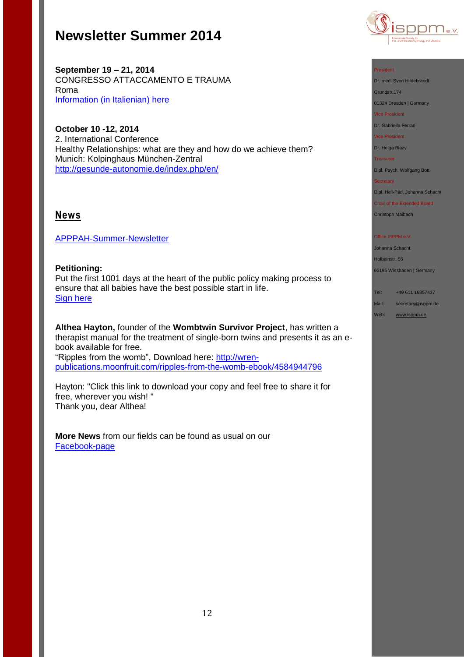

**September 19 – 21, 2014** CONGRESSO ATTACCAMENTO E TRAUMA Roma Information [\(in Italienian\) here](http://www.istitutodiscienzecognitive.com/1/upload/1_brochure_congresso_trauma.pdf)

**October 10 -12, 2014** 2. International Conference Healthy Relationships: what are they and how do we achieve them? Munich: Kolpinghaus München-Zentral <http://gesunde-autonomie.de/index.php/en/>

## **News**

[APPPAH-Summer-Newsletter](https://birthpsychology.com/system/files/newsletters/newslettersummer2014b.pdf)

**Petitioning:** Put the first 1001 days at the heart of the public policy making process to ensure that all babies have the best possible start in life. [Sign here](http://www.change.org/en-GB/petitions/rt-hon-michael-gove-mp-put-the-first-1001-days-at-the-heart-of-the-public-policy-making-process-to-ensure-that-all-babies-have-the-best-possible-start-in-life?utm_campaign=new_signature&utm_medium=email&utm_source=signature_receipt#share)

**Althea Hayton,** founder of the **Wombtwin Survivor Project**, has written a therapist manual for the treatment of single-born twins and presents it as an ebook available for free. "Ripples from the womb", Download here: [http://wren](http://wren-publications.moonfruit.com/ripples-from-the-womb-ebook/4584944796)[publications.moonfruit.com/ripples-from-the-womb-ebook/4584944796](http://wren-publications.moonfruit.com/ripples-from-the-womb-ebook/4584944796)

Hayton: "Click this link to download your copy and feel free to share it for free, wherever you wish! " Thank you, dear Althea!

**More News** from our fields can be found as usual on our [Facebook-page](http://de-de.facebook.com/pages/ISPPM-eV/124066644364106) 

#### President

Dr. med. Sven Hildebrandt

Grundstr.174

01324 Dresden | Germany

Vice President

Dr. Gabriella Ferrari

Vice President

Dr. Helga Blazy

**Treasurer** 

Dipl. Psych. Wolfgang Bott

#### **Secretary**

Dipl. Heil-Päd. Johanna Schacht

Chair of the Extended Board Christoph Maibach

#### Office ISPPM e.V.

Johanna Schacht Holbeinstr. 56

65195 Wiesbaden | Germany

Tel: +49 611 16857437 Mail: [secretary@isppm.de](mailto:secretary@isppm.de)

Web: [www.isppm.de](http://www.isppm.de/)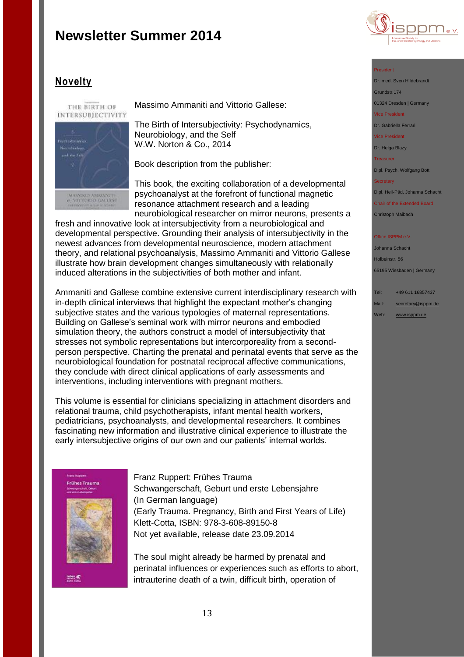

## **Novelty**

THE BIRTH OF INTERSUBJECTIVITY



Massimo Ammaniti and Vittorio Gallese:

The Birth of Intersubjectivity: Psychodynamics, Neurobiology, and the Self W.W. Norton & Co., 2014

Book description from the publisher:

This book, the exciting collaboration of a developmental psychoanalyst at the forefront of functional magnetic resonance attachment research and a leading neurobiological researcher on mirror neurons, presents a

fresh and innovative look at intersubjectivity from a neurobiological and developmental perspective. Grounding their analysis of intersubjectivity in the newest advances from developmental neuroscience, modern attachment theory, and relational psychoanalysis, Massimo Ammaniti and Vittorio Gallese illustrate how brain development changes simultaneously with relationally induced alterations in the subjectivities of both mother and infant.

Ammaniti and Gallese combine extensive current interdisciplinary research with in-depth clinical interviews that highlight the expectant mother's changing subjective states and the various typologies of maternal representations. Building on Gallese's seminal work with mirror neurons and embodied simulation theory, the authors construct a model of intersubjectivity that stresses not symbolic representations but intercorporeality from a secondperson perspective. Charting the prenatal and perinatal events that serve as the neurobiological foundation for postnatal reciprocal affective communications, they conclude with direct clinical applications of early assessments and interventions, including interventions with pregnant mothers.

This volume is essential for clinicians specializing in attachment disorders and relational trauma, child psychotherapists, infant mental health workers, pediatricians, psychoanalysts, and developmental researchers. It combines fascinating new information and illustrative clinical experience to illustrate the early intersubiective origins of our own and our patients' internal worlds.



Franz Ruppert: Frühes Trauma Schwangerschaft, Geburt und erste Lebensjahre (In German language) (Early Trauma. Pregnancy, Birth and First Years of Life) Klett-Cotta, ISBN: 978-3-608-89150-8 Not yet available, release date 23.09.2014

The soul might already be harmed by prenatal and perinatal influences or experiences such as efforts to abort, intrauterine death of a twin, difficult birth, operation of

#### President

Dr. med. Sven Hildebrandt Grundstr.174

01324 Dresden | Germany

Vice President

Dr. Gabriella Ferrari

Vice President

Dr. Helga Blazy Treasurer

Dipl. Psych. Wolfgang Bott

#### **Secretary**

Dipl. Heil-Päd. Johanna Schacht

Chair of the Extended Board Christoph Maibach

#### Office ISPPM e.V

Johanna Schacht Holbeinstr. 56 65195 Wiesbaden | Germany

## Tel: +49 611 16857437

Mail: [secretary@isppm.de](mailto:secretary@isppm.de) Web: [www.isppm.de](http://www.isppm.de/)

uban 45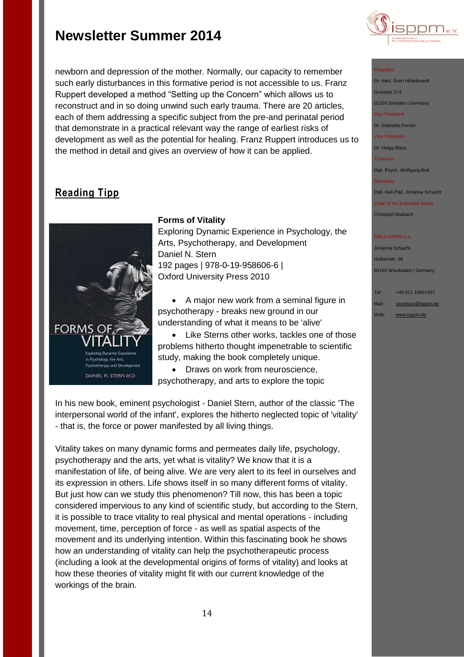newborn and depression of the mother. Normally, our capacity to remember such early disturbances in this formative period is not accessible to us. Franz Ruppert developed a method "Setting up the Concern" which allows us to reconstruct and in so doing unwind such early trauma. There are 20 articles, each of them addressing a specific subject from the pre-and perinatal period that demonstrate in a practical relevant way the range of earliest risks of development as well as the potential for healing. Franz Ruppert introduces us to the method in detail and gives an overview of how it can be applied.

## **Reading Tipp**



### **Forms of Vitality**

Exploring Dynamic Experience in Psychology, the Arts, Psychotherapy, and Development Daniel N. Stern 192 pages | 978-0-19-958606-6 | Oxford University Press 2010

 A major new work from a seminal figure in psychotherapy - breaks new ground in our understanding of what it means to be 'alive'

 Like Sterns other works, tackles one of those problems hitherto thought impenetrable to scientific study, making the book completely unique.

• Draws on work from neuroscience, psychotherapy, and arts to explore the topic

In his new book, eminent psychologist - Daniel Stern, author of the classic 'The interpersonal world of the infant', explores the hitherto neglected topic of 'vitality' - that is, the force or power manifested by all living things.

Vitality takes on many dynamic forms and permeates daily life, psychology, psychotherapy and the arts, yet what is vitality? We know that it is a manifestation of life, of being alive. We are very alert to its feel in ourselves and its expression in others. Life shows itself in so many different forms of vitality. But just how can we study this phenomenon? Till now, this has been a topic considered impervious to any kind of scientific study, but according to the Stern, it is possible to trace vitality to real physical and mental operations - including movement, time, perception of force - as well as spatial aspects of the movement and its underlying intention. Within this fascinating book he shows how an understanding of vitality can help the psychotherapeutic process (including a look at the developmental origins of forms of vitality) and looks at how these theories of vitality might fit with our current knowledge of the workings of the brain.



#### President

Dr. med. Sven Hildebrandt Grundstr.174

01324 Dresden | Germany

Vice President

Dr. Gabriella Ferrari

Vice President

Dr. Helga Blazy

Treasurer

Dipl. Psych. Wolfgang Bott

Dipl. Heil-Päd. Johanna Schacht

Chair of the Extended Board Christoph Maibach

#### **Office ISPPM e.V**

Johanna Schacht Holbeinstr. 56 65195 Wiesbaden | Germany

Tel: +49 611 16857437 Mail: [secretary@isppm.de](mailto:secretary@isppm.de)